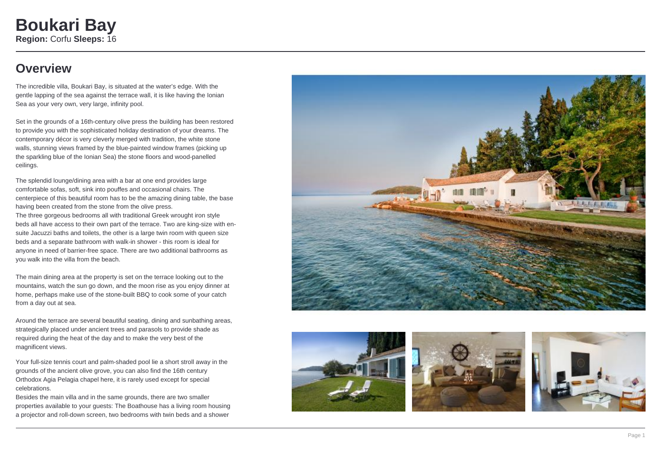### **Overview**

The incredible villa, Boukari Bay, is situated at the water's edge. With the gentle lapping of the sea against the terrace wall, it is like having the Ionian Sea as your very own, very large, infinity pool.

Set in the grounds of a 16th-century olive press the building has been restored to provide you with the sophisticated holiday destination of your dreams. The contemporary décor is very cleverly merged with tradition, the white stone walls, stunning views framed by the blue-painted window frames (picking up the sparkling blue of the Ionian Sea) the stone floors and wood-panelled ceilings.

The splendid lounge/dining area with a bar at one end provides large comfortable sofas, soft, sink into pouffes and occasional chairs. The centerpiece of this beautiful room has to be the amazing dining table, the base having been created from the stone from the olive press. The three gorgeous bedrooms all with traditional Greek wrought iron style beds all have access to their own part of the terrace. Two are king-size with ensuite Jacuzzi baths and toilets, the other is a large twin room with queen size beds and a separate bathroom with walk-in shower - this room is ideal for anyone in need of barrier-free space. There are two additional bathrooms as you walk into the villa from the beach.

The main dining area at the property is set on the terrace looking out to the mountains, watch the sun go down, and the moon rise as you enjoy dinner at home, perhaps make use of the stone-built BBQ to cook some of your catch from a day out at sea.

Around the terrace are several beautiful seating, dining and sunbathing areas, strategically placed under ancient trees and parasols to provide shade as required during the heat of the day and to make the very best of the magnificent views.

Your full-size tennis court and palm-shaded pool lie a short stroll away in the grounds of the ancient olive grove, you can also find the 16th century Orthodox Agia Pelagia chapel here, it is rarely used except for special celebrations.

Besides the main villa and in the same grounds, there are two smaller properties available to your guests: The Boathouse has a living room housing a projector and roll-down screen, two bedrooms with twin beds and a shower







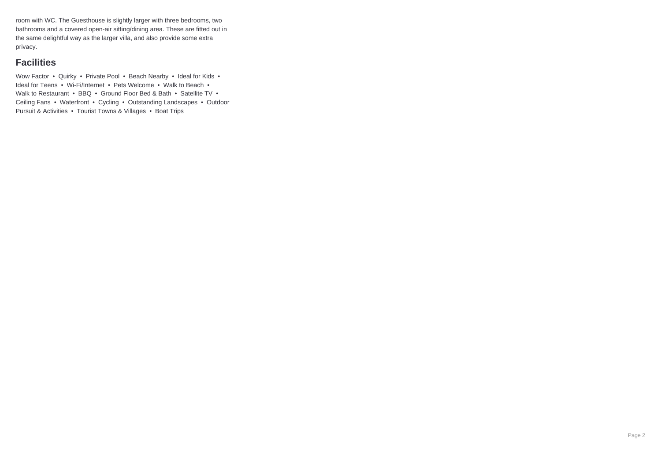room with WC. The Guesthouse is slightly larger with three bedrooms, two bathrooms and a covered open-air sitting/dining area. These are fitted out in the same delightful way as the larger villa, and also provide some extra privacy.

### **Facilities**

Wow Factor • Quirky • Private Pool • Beach Nearby • Ideal for Kids • Ideal for Teens • Wi-Fi/Internet • Pets Welcome • Walk to Beach • Walk to Restaurant • BBQ • Ground Floor Bed & Bath • Satellite TV • Ceiling Fans • Waterfront • Cycling • Outstanding Landscapes • Outdoor Pursuit & Activities • Tourist Towns & Villages • Boat Trips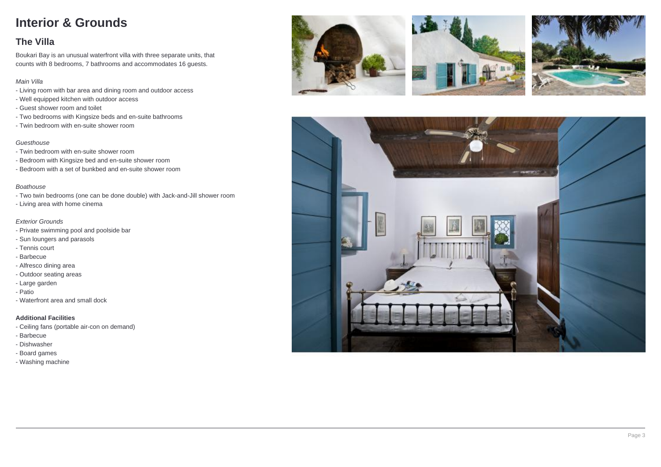## **Interior & Grounds**

### **The Villa**

Boukari Bay is an unusual waterfront villa with three separate units, that counts with 8 bedrooms, 7 bathrooms and accommodates 16 guests.

#### Main Villa

- Living room with bar area and dining room and outdoor access
- Well equipped kitchen with outdoor access
- Guest shower room and toilet
- Two bedrooms with Kingsize beds and en-suite bathrooms
- Twin bedroom with en-suite shower room

#### Guesthouse

- Twin bedroom with en-suite shower room
- Bedroom with Kingsize bed and en-suite shower room
- Bedroom with a set of bunkbed and en-suite shower room

#### Boathouse

- Two twin bedrooms (one can be done double) with Jack-and-Jill shower room
- Living area with home cinema

#### Exterior Grounds

- Private swimming pool and poolside bar
- Sun loungers and parasols
- Tennis court
- Barbecue
- Alfresco dining area
- Outdoor seating areas
- Large garden
- Patio
- Waterfront area and small dock

#### **Additional Facilities**

- Ceiling fans (portable air-con on demand)
- Barbecue
- Dishwasher
- Board games
- Washing machine







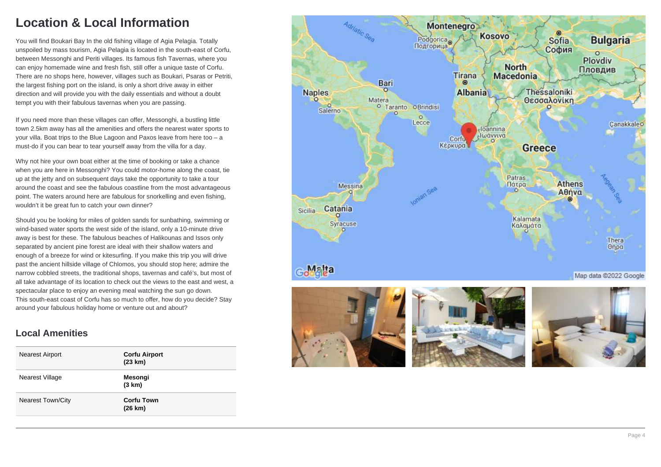## **Location & Local Information**

You will find Boukari Bay In the old fishing village of Agia Pelagia. Totally unspoiled by mass tourism, Agia Pelagia is located in the south-east of Corfu, between Messonghi and Periti villages. Its famous fish Tavernas, where you can enjoy homemade wine and fresh fish, still offer a unique taste of Corfu. There are no shops here, however, villages such as Boukari, Psaras or Petriti, the largest fishing port on the island, is only a short drive away in either direction and will provide you with the daily essentials and without a doubt tempt you with their fabulous tavernas when you are passing.

If you need more than these villages can offer, Messonghi, a bustling little town 2.5km away has all the amenities and offers the nearest water sports to your villa. Boat trips to the Blue Lagoon and Paxos leave from here too – a must-do if you can bear to tear yourself away from the villa for a day.

Why not hire your own boat either at the time of booking or take a chance when you are here in Messonghi? You could motor-home along the coast, tie up at the jetty and on subsequent days take the opportunity to take a tour around the coast and see the fabulous coastline from the most advantageous point. The waters around here are fabulous for snorkelling and even fishing, wouldn't it be great fun to catch your own dinner?

Should you be looking for miles of golden sands for sunbathing, swimming or wind-based water sports the west side of the island, only a 10-minute drive away is best for these. The fabulous beaches of Halikounas and Issos only separated by ancient pine forest are ideal with their shallow waters and enough of a breeze for wind or kitesurfing. If you make this trip you will drive past the ancient hillside village of Chlomos, you should stop here; admire the narrow cobbled streets, the traditional shops, tavernas and café's, but most of all take advantage of its location to check out the views to the east and west, a spectacular place to enjoy an evening meal watching the sun go down. This south-east coast of Corfu has so much to offer, how do you decide? Stay around your fabulous holiday home or venture out and about?

### **Local Amenities**

| <b>Nearest Airport</b>   | <b>Corfu Airport</b><br>(23 km) |
|--------------------------|---------------------------------|
| Nearest Village          | Mesongi<br>(3 km)               |
| <b>Nearest Town/City</b> | <b>Corfu Town</b><br>(26 km)    |

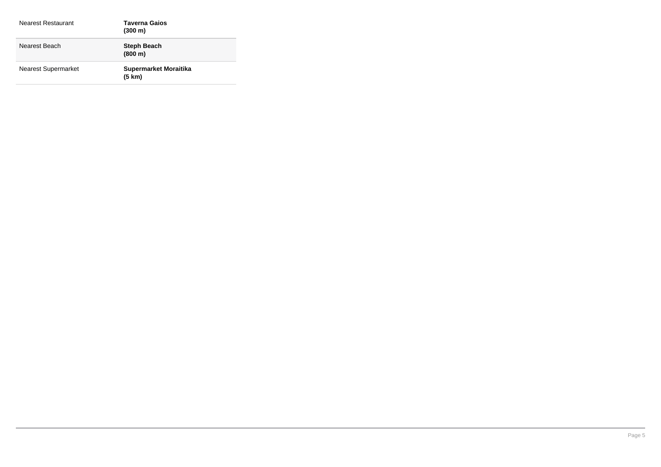| Nearest Restaurant         | <b>Taverna Gaios</b><br>$(300 \;{\rm m})$ |
|----------------------------|-------------------------------------------|
| Nearest Beach              | <b>Steph Beach</b><br>(800 m)             |
| <b>Nearest Supermarket</b> | <b>Supermarket Moraitika</b><br>(5 km)    |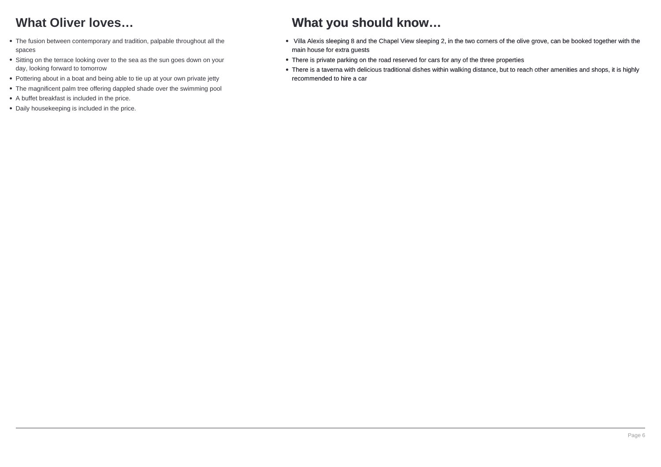## **What Oliver loves…**

- The fusion between contemporary and tradition, palpable throughout all the spaces
- Sitting on the terrace looking over to the sea as the sun goes down on your day, looking forward to tomorrow
- Pottering about in a boat and being able to tie up at your own private jetty
- The magnificent palm tree offering dappled shade over the swimming pool
- A buffet breakfast is included in the price.
- Daily housekeeping is included in the price.

### **What you should know…**

- Villa Alexis sleeping 8 and the Chapel View sleeping 2, in the two corners of the olive grove, can be booked together with the main house for extra guests
- There is private parking on the road reserved for cars for any of the three properties
- There is a taverna with delicious traditional dishes within walking distance, but to reach other amenities and shops, it is highly recommended to hire a car